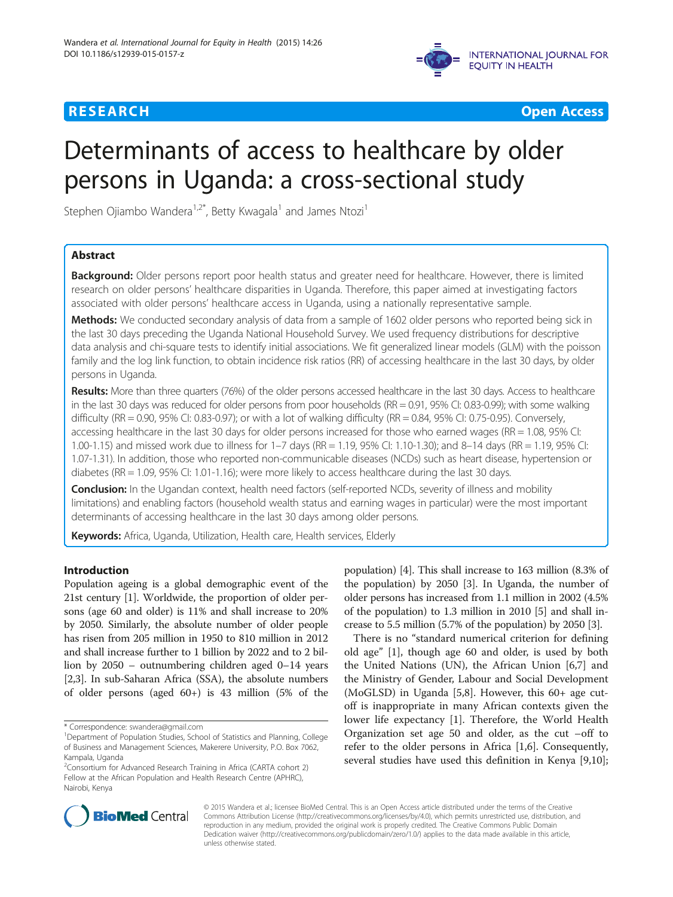

**RESEARCH CHE Open Access** 

# Determinants of access to healthcare by older persons in Uganda: a cross-sectional study

Stephen Ojiambo Wandera<sup>1,2\*</sup>, Betty Kwagala<sup>1</sup> and James Ntozi<sup>1</sup>

# Abstract

**Background:** Older persons report poor health status and greater need for healthcare. However, there is limited research on older persons' healthcare disparities in Uganda. Therefore, this paper aimed at investigating factors associated with older persons' healthcare access in Uganda, using a nationally representative sample.

Methods: We conducted secondary analysis of data from a sample of 1602 older persons who reported being sick in the last 30 days preceding the Uganda National Household Survey. We used frequency distributions for descriptive data analysis and chi-square tests to identify initial associations. We fit generalized linear models (GLM) with the poisson family and the log link function, to obtain incidence risk ratios (RR) of accessing healthcare in the last 30 days, by older persons in Uganda.

Results: More than three quarters (76%) of the older persons accessed healthcare in the last 30 days. Access to healthcare in the last 30 days was reduced for older persons from poor households (RR = 0.91, 95% CI: 0.83-0.99); with some walking difficulty (RR = 0.90, 95% CI: 0.83-0.97); or with a lot of walking difficulty (RR = 0.84, 95% CI: 0.75-0.95). Conversely, accessing healthcare in the last 30 days for older persons increased for those who earned wages (RR = 1.08, 95% CI: 1.00-1.15) and missed work due to illness for 1–7 days (RR = 1.19, 95% CI: 1.10-1.30); and 8–14 days (RR = 1.19, 95% CI: 1.07-1.31). In addition, those who reported non-communicable diseases (NCDs) such as heart disease, hypertension or diabetes (RR = 1.09, 95% CI: 1.01-1.16); were more likely to access healthcare during the last 30 days.

Conclusion: In the Ugandan context, health need factors (self-reported NCDs, severity of illness and mobility limitations) and enabling factors (household wealth status and earning wages in particular) were the most important determinants of accessing healthcare in the last 30 days among older persons.

Keywords: Africa, Uganda, Utilization, Health care, Health services, Elderly

## Introduction

Population ageing is a global demographic event of the 21st century [\[1\]](#page-8-0). Worldwide, the proportion of older persons (age 60 and older) is 11% and shall increase to 20% by 2050. Similarly, the absolute number of older people has risen from 205 million in 1950 to 810 million in 2012 and shall increase further to 1 billion by 2022 and to 2 billion by 2050 – outnumbering children aged 0–14 years [[2,3](#page-8-0)]. In sub-Saharan Africa (SSA), the absolute numbers of older persons (aged 60+) is 43 million (5% of the

population) [[4\]](#page-8-0). This shall increase to 163 million (8.3% of the population) by 2050 [\[3\]](#page-8-0). In Uganda, the number of older persons has increased from 1.1 million in 2002 (4.5% of the population) to 1.3 million in 2010 [\[5](#page-8-0)] and shall increase to 5.5 million (5.7% of the population) by 2050 [\[3](#page-8-0)].

There is no "standard numerical criterion for defining old age" [[1](#page-8-0)], though age 60 and older, is used by both the United Nations (UN), the African Union [[6,7\]](#page-8-0) and the Ministry of Gender, Labour and Social Development (MoGLSD) in Uganda [\[5,8\]](#page-8-0). However, this 60+ age cutoff is inappropriate in many African contexts given the lower life expectancy [\[1](#page-8-0)]. Therefore, the World Health Organization set age 50 and older, as the cut –off to refer to the older persons in Africa [[1](#page-8-0),[6\]](#page-8-0). Consequently, several studies have used this definition in Kenya [\[9,10](#page-8-0)];



© 2015 Wandera et al.; licensee BioMed Central. This is an Open Access article distributed under the terms of the Creative Commons Attribution License [\(http://creativecommons.org/licenses/by/4.0\)](http://creativecommons.org/licenses/by/4.0), which permits unrestricted use, distribution, and reproduction in any medium, provided the original work is properly credited. The Creative Commons Public Domain Dedication waiver [\(http://creativecommons.org/publicdomain/zero/1.0/](http://creativecommons.org/publicdomain/zero/1.0/)) applies to the data made available in this article, unless otherwise stated.

<sup>\*</sup> Correspondence: [swandera@gmail.com](mailto:swandera@gmail.com) <sup>1</sup>

<sup>&</sup>lt;sup>1</sup>Department of Population Studies, School of Statistics and Planning, College of Business and Management Sciences, Makerere University, P.O. Box 7062, Kampala, Uganda

<sup>&</sup>lt;sup>2</sup> Consortium for Advanced Research Training in Africa (CARTA cohort 2) Fellow at the African Population and Health Research Centre (APHRC), Nairobi, Kenya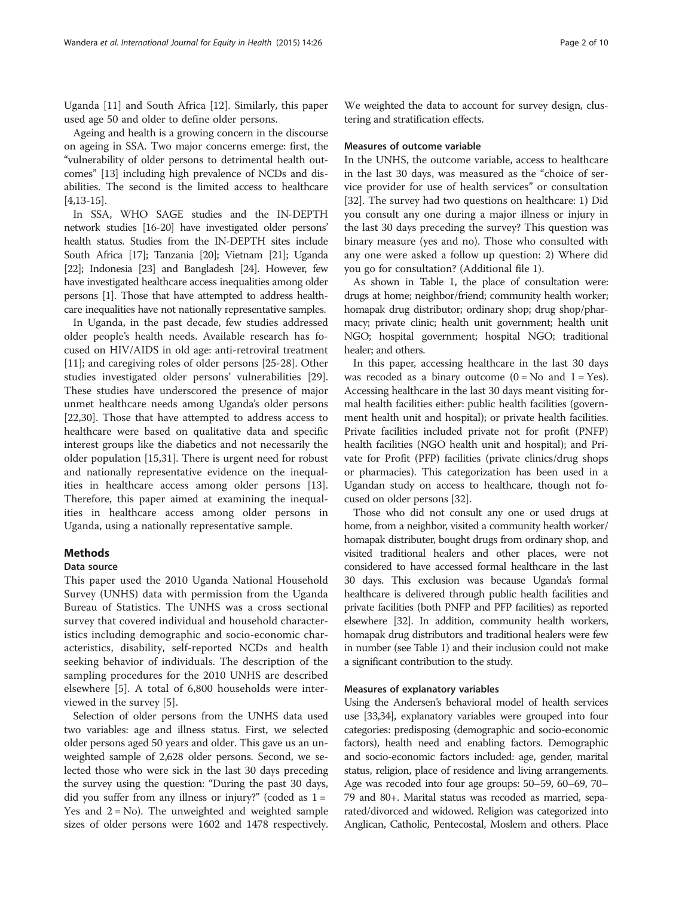Uganda [[11](#page-8-0)] and South Africa [[12\]](#page-9-0). Similarly, this paper used age 50 and older to define older persons.

Ageing and health is a growing concern in the discourse on ageing in SSA. Two major concerns emerge: first, the "vulnerability of older persons to detrimental health outcomes" [\[13\]](#page-9-0) including high prevalence of NCDs and disabilities. The second is the limited access to healthcare [[4,](#page-8-0)[13](#page-9-0)-[15](#page-9-0)].

In SSA, WHO SAGE studies and the IN-DEPTH network studies [\[16-20](#page-9-0)] have investigated older persons' health status. Studies from the IN-DEPTH sites include South Africa [[17](#page-9-0)]; Tanzania [[20\]](#page-9-0); Vietnam [\[21](#page-9-0)]; Uganda [[22](#page-9-0)]; Indonesia [\[23\]](#page-9-0) and Bangladesh [\[24\]](#page-9-0). However, few have investigated healthcare access inequalities among older persons [\[1](#page-8-0)]. Those that have attempted to address healthcare inequalities have not nationally representative samples.

In Uganda, in the past decade, few studies addressed older people's health needs. Available research has focused on HIV/AIDS in old age: anti-retroviral treatment [[11\]](#page-8-0); and caregiving roles of older persons [[25-28](#page-9-0)]. Other studies investigated older persons' vulnerabilities [\[29](#page-9-0)]. These studies have underscored the presence of major unmet healthcare needs among Uganda's older persons [[22,30\]](#page-9-0). Those that have attempted to address access to healthcare were based on qualitative data and specific interest groups like the diabetics and not necessarily the older population [[15,31\]](#page-9-0). There is urgent need for robust and nationally representative evidence on the inequalities in healthcare access among older persons [\[13](#page-9-0)]. Therefore, this paper aimed at examining the inequalities in healthcare access among older persons in Uganda, using a nationally representative sample.

#### Methods

#### Data source

This paper used the 2010 Uganda National Household Survey (UNHS) data with permission from the Uganda Bureau of Statistics. The UNHS was a cross sectional survey that covered individual and household characteristics including demographic and socio-economic characteristics, disability, self-reported NCDs and health seeking behavior of individuals. The description of the sampling procedures for the 2010 UNHS are described elsewhere [[5\]](#page-8-0). A total of 6,800 households were interviewed in the survey [\[5](#page-8-0)].

Selection of older persons from the UNHS data used two variables: age and illness status. First, we selected older persons aged 50 years and older. This gave us an unweighted sample of 2,628 older persons. Second, we selected those who were sick in the last 30 days preceding the survey using the question: "During the past 30 days, did you suffer from any illness or injury?" (coded as  $1 =$ Yes and  $2 = No$ ). The unweighted and weighted sample sizes of older persons were 1602 and 1478 respectively. We weighted the data to account for survey design, clustering and stratification effects.

#### Measures of outcome variable

In the UNHS, the outcome variable, access to healthcare in the last 30 days, was measured as the "choice of service provider for use of health services" or consultation [[32\]](#page-9-0). The survey had two questions on healthcare: 1) Did you consult any one during a major illness or injury in the last 30 days preceding the survey? This question was binary measure (yes and no). Those who consulted with any one were asked a follow up question: 2) Where did you go for consultation? (Additional file [1](#page-8-0)).

As shown in Table [1](#page-2-0), the place of consultation were: drugs at home; neighbor/friend; community health worker; homapak drug distributor; ordinary shop; drug shop/pharmacy; private clinic; health unit government; health unit NGO; hospital government; hospital NGO; traditional healer; and others.

In this paper, accessing healthcare in the last 30 days was recoded as a binary outcome  $(0 = No$  and  $1 = Yes)$ . Accessing healthcare in the last 30 days meant visiting formal health facilities either: public health facilities (government health unit and hospital); or private health facilities. Private facilities included private not for profit (PNFP) health facilities (NGO health unit and hospital); and Private for Profit (PFP) facilities (private clinics/drug shops or pharmacies). This categorization has been used in a Ugandan study on access to healthcare, though not focused on older persons [\[32](#page-9-0)].

Those who did not consult any one or used drugs at home, from a neighbor, visited a community health worker/ homapak distributer, bought drugs from ordinary shop, and visited traditional healers and other places, were not considered to have accessed formal healthcare in the last 30 days. This exclusion was because Uganda's formal healthcare is delivered through public health facilities and private facilities (both PNFP and PFP facilities) as reported elsewhere [\[32\]](#page-9-0). In addition, community health workers, homapak drug distributors and traditional healers were few in number (see Table [1\)](#page-2-0) and their inclusion could not make a significant contribution to the study.

#### Measures of explanatory variables

Using the Andersen's behavioral model of health services use [\[33,34\]](#page-9-0), explanatory variables were grouped into four categories: predisposing (demographic and socio-economic factors), health need and enabling factors. Demographic and socio-economic factors included: age, gender, marital status, religion, place of residence and living arrangements. Age was recoded into four age groups: 50–59, 60–69, 70– 79 and 80+. Marital status was recoded as married, separated/divorced and widowed. Religion was categorized into Anglican, Catholic, Pentecostal, Moslem and others. Place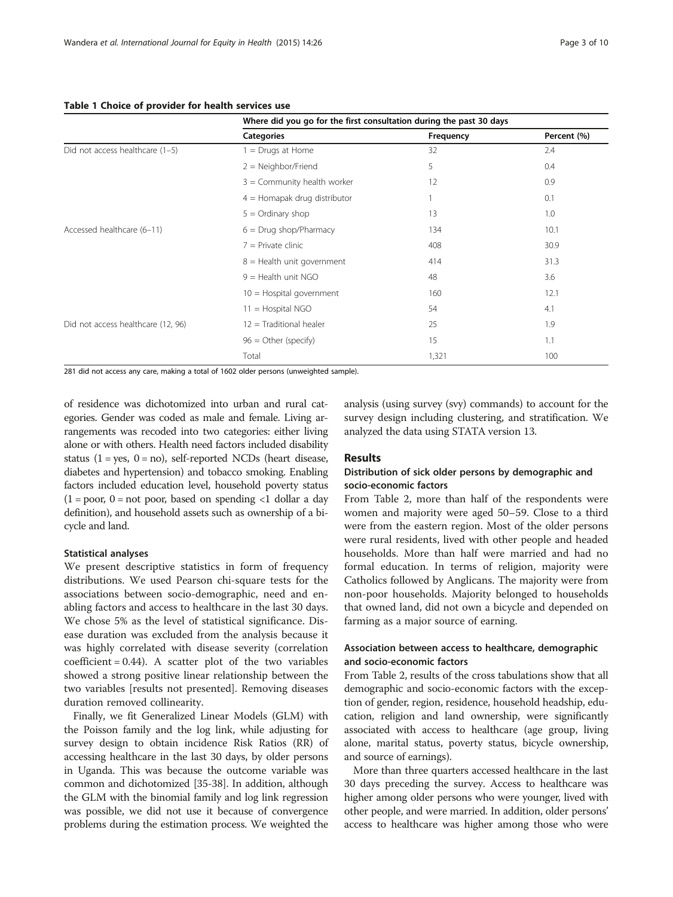#### <span id="page-2-0"></span>Table 1 Choice of provider for health services use

|                                    | Where did you go for the first consultation during the past 30 days |           |             |  |
|------------------------------------|---------------------------------------------------------------------|-----------|-------------|--|
|                                    | Categories                                                          | Frequency | Percent (%) |  |
| Did not access healthcare (1-5)    | $1 = Drugs at Home$                                                 | 32        | 2.4         |  |
|                                    | $2 = Neighbour/Friend$                                              | 5         | 0.4         |  |
|                                    | $3 =$ Community health worker                                       | 12        | 0.9         |  |
|                                    | $4 =$ Homapak drug distributor                                      |           | 0.1         |  |
|                                    | $5 =$ Ordinary shop                                                 | 13        | 1.0         |  |
| Accessed healthcare (6-11)         | $6 = Drug shop/Pharmacy$                                            | 134       | 10.1        |  |
|                                    | $7$ = Private clinic                                                | 408       | 30.9        |  |
|                                    | $8 =$ Health unit government                                        | 414       | 31.3        |  |
|                                    | $9 =$ Health unit NGO                                               | 48        | 3.6         |  |
|                                    | $10 =$ Hospital government                                          | 160       | 12.1        |  |
|                                    | $11 =$ Hospital NGO                                                 | 54        | 4.1         |  |
| Did not access healthcare (12, 96) | $12$ = Traditional healer                                           | 25        | 1.9         |  |
|                                    | $96 =$ Other (specify)                                              | 15        | 1.1         |  |
|                                    | Total                                                               | 1,321     | 100         |  |

281 did not access any care, making a total of 1602 older persons (unweighted sample).

of residence was dichotomized into urban and rural categories. Gender was coded as male and female. Living arrangements was recoded into two categories: either living alone or with others. Health need factors included disability status  $(1 = yes, 0 = no)$ , self-reported NCDs (heart disease, diabetes and hypertension) and tobacco smoking. Enabling factors included education level, household poverty status  $(1 = poor, 0 = not poor, based on spending < 1$  dollar a day definition), and household assets such as ownership of a bicycle and land.

#### Statistical analyses

We present descriptive statistics in form of frequency distributions. We used Pearson chi-square tests for the associations between socio-demographic, need and enabling factors and access to healthcare in the last 30 days. We chose 5% as the level of statistical significance. Disease duration was excluded from the analysis because it was highly correlated with disease severity (correlation  $coefficient = 0.44$ ). A scatter plot of the two variables showed a strong positive linear relationship between the two variables [results not presented]. Removing diseases duration removed collinearity.

Finally, we fit Generalized Linear Models (GLM) with the Poisson family and the log link, while adjusting for survey design to obtain incidence Risk Ratios (RR) of accessing healthcare in the last 30 days, by older persons in Uganda. This was because the outcome variable was common and dichotomized [\[35-38](#page-9-0)]. In addition, although the GLM with the binomial family and log link regression was possible, we did not use it because of convergence problems during the estimation process. We weighted the analysis (using survey (svy) commands) to account for the survey design including clustering, and stratification. We analyzed the data using STATA version 13.

#### Results

#### Distribution of sick older persons by demographic and socio-economic factors

From Table [2](#page-3-0), more than half of the respondents were women and majority were aged 50–59. Close to a third were from the eastern region. Most of the older persons were rural residents, lived with other people and headed households. More than half were married and had no formal education. In terms of religion, majority were Catholics followed by Anglicans. The majority were from non-poor households. Majority belonged to households that owned land, did not own a bicycle and depended on farming as a major source of earning.

### Association between access to healthcare, demographic and socio-economic factors

From Table [2](#page-3-0), results of the cross tabulations show that all demographic and socio-economic factors with the exception of gender, region, residence, household headship, education, religion and land ownership, were significantly associated with access to healthcare (age group, living alone, marital status, poverty status, bicycle ownership, and source of earnings).

More than three quarters accessed healthcare in the last 30 days preceding the survey. Access to healthcare was higher among older persons who were younger, lived with other people, and were married. In addition, older persons' access to healthcare was higher among those who were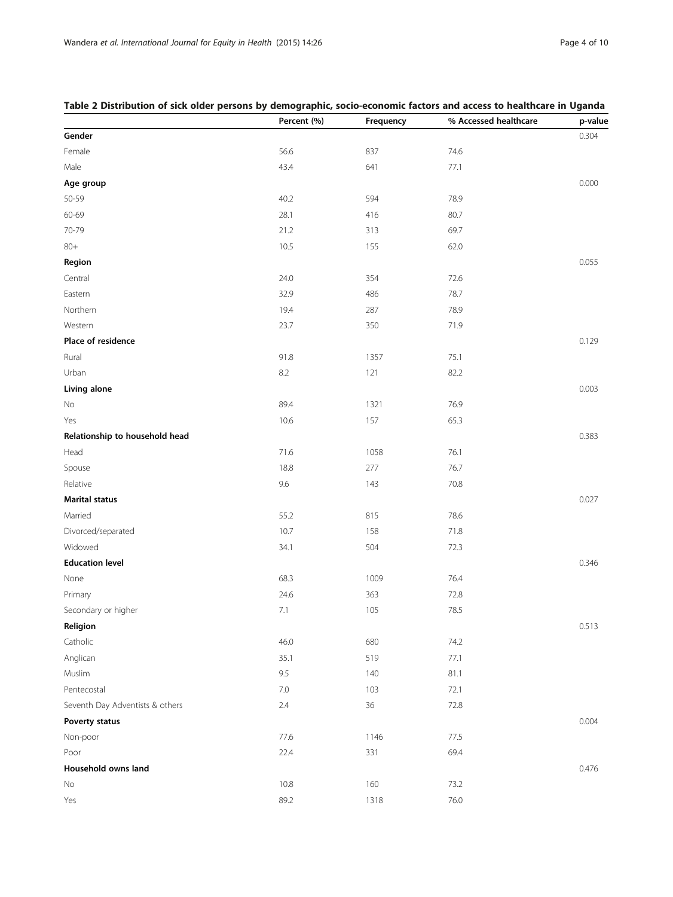# Percent (%) Frequency % Accessed healthcare p-value **Gender 2.0304 Second Contract Contract Contract Contract Contract Contract Contract Contract Contract Contract Contract Contract Contract Contract Contract Contract Contract Contract Contract Contract Contract Contract Co** Female 56.6 837 74.6 Male 27.1 Age group  $0.000$ 50-59 40.2 594 78.9 60-69 28.1 416 80.7 70-79 21.2 313 69.7  $80+$  62.0 **Region and the contract of the contract of the contract of the contract of the contract of the contract of the contract of the contract of the contract of the contract of the contract of the contract of the contract of th** Central 24.0 354 72.6 Eastern 32.9 486 78.7 Northern 19.4 287 78.9 Western 23.7 350 71.9 **Place of residence** 0.129 Rural 1357 75.1 1367 1398 1398 1399 1391 1392 1393 1394 1395 1396 1397 1398 1397 1398 1398 1398 1398 1398 139 Urban 8.2 121 82.2 **121 82.2** Living alone 0.003 No 1321 76.9  $Y$ es 10.6 157 65.3 Relationship to household head 0.383 Head 1058 76.1 and 2008 76.1 and 2008 76.1 and 2008 76.1 and 2008 76.1 and 2008 76.1 and 2008 76.1 and 2008 76 Spouse 18.8 277 76.7 Relative 70.8 and 70.8 and 70.8 and 70.8 and 70.8 and 70.8 and 70.8 and 70.8 and 70.8 and 70.8 and 70.8 and 70 **Marital status** 0.027 Married 2008 **Married** 2008 **78.6** 815 **815** 78.6 Divorced/separated 10.7 158 71.8 Widowed 34.1 504 72.3 Education level 0.346 None 1009 76.4 Primary 24.6 363 72.8 364 72.8 364 72.8 364 72.8 364 72.8 363 72.8 363 72.8 363 72.8 363 72.8 363 72.8 364 72.8 Secondary or higher 78.5 and 78.5 and 7.1 105 78.5 and 78.5 and 78.5 and 78.5 and 78.5 and 78.5 and 78.5 and 78.5 and 78.5 and 78.5 and 78.5 and 78.5 and 78.5 and 78.5 and 78.5 and 78.5 and 78.5 and 78.5 and 78.5 and 78.5 **Religion** 0.513 Catholic 2012 12:00 12:00 12:00 12:00 12:00 12:00 12:00 12:00 14:00 14:00 14:00 14:00 14:00 14:00 14:00 14:00 Anglican 35.1 519 77.1 Muslim 81.1 and 81.1 and 81.1 and 81.1 and 81.1 and 81.1 and 81.1 and 81.1 and 81.1 and 81.1 and 81.1 and 81.1 Pentecostal 103 72.1 103 72.1 103 72.1 103 72.1 103 72.1 103 72.1 103 72.1 103 72.1 103 72.1 103 72.1 103 72.1 Seventh Day Adventists & others 2.4 36 72.8 **Poverty status and the contract of the contract of the contract of the contract of the contract of the contract of the contract of the contract of the contract of the contract of the contract of the contract of the contra** Non-poor 77.6 1146 77.5 Poor 22.4 331 69.4 **Household owns land** 0.476 No 10.8 10.8 160 73.2 Yes 89.2 1318 76.0

#### <span id="page-3-0"></span>Table 2 Distribution of sick older persons by demographic, socio-economic factors and access to healthcare in Uganda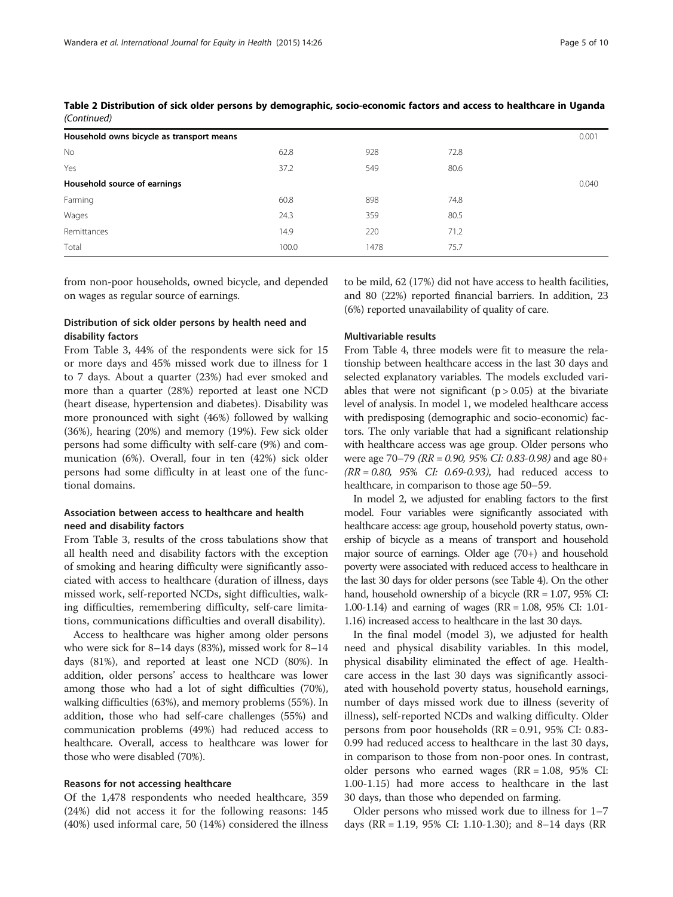| Household owns bicycle as transport means |       |      |      |       |
|-------------------------------------------|-------|------|------|-------|
| No                                        | 62.8  | 928  | 72.8 |       |
| Yes                                       | 37.2  | 549  | 80.6 |       |
| Household source of earnings              |       |      |      | 0.040 |
| Farming                                   | 60.8  | 898  | 74.8 |       |
| Wages                                     | 24.3  | 359  | 80.5 |       |
| Remittances                               | 14.9  | 220  | 71.2 |       |
| Total                                     | 100.0 | 1478 | 75.7 |       |

Table 2 Distribution of sick older persons by demographic, socio-economic factors and access to healthcare in Uganda (Continued)

from non-poor households, owned bicycle, and depended on wages as regular source of earnings.

### Distribution of sick older persons by health need and disability factors

From Table [3,](#page-5-0) 44% of the respondents were sick for 15 or more days and 45% missed work due to illness for 1 to 7 days. About a quarter (23%) had ever smoked and more than a quarter (28%) reported at least one NCD (heart disease, hypertension and diabetes). Disability was more pronounced with sight (46%) followed by walking (36%), hearing (20%) and memory (19%). Few sick older persons had some difficulty with self-care (9%) and communication (6%). Overall, four in ten (42%) sick older persons had some difficulty in at least one of the functional domains.

### Association between access to healthcare and health need and disability factors

From Table [3,](#page-5-0) results of the cross tabulations show that all health need and disability factors with the exception of smoking and hearing difficulty were significantly associated with access to healthcare (duration of illness, days missed work, self-reported NCDs, sight difficulties, walking difficulties, remembering difficulty, self-care limitations, communications difficulties and overall disability).

Access to healthcare was higher among older persons who were sick for 8–14 days (83%), missed work for 8–14 days (81%), and reported at least one NCD (80%). In addition, older persons' access to healthcare was lower among those who had a lot of sight difficulties (70%), walking difficulties (63%), and memory problems (55%). In addition, those who had self-care challenges (55%) and communication problems (49%) had reduced access to healthcare. Overall, access to healthcare was lower for those who were disabled (70%).

#### Reasons for not accessing healthcare

Of the 1,478 respondents who needed healthcare, 359 (24%) did not access it for the following reasons: 145 (40%) used informal care, 50 (14%) considered the illness to be mild, 62 (17%) did not have access to health facilities, and 80 (22%) reported financial barriers. In addition, 23 (6%) reported unavailability of quality of care.

#### Multivariable results

From Table [4,](#page-6-0) three models were fit to measure the relationship between healthcare access in the last 30 days and selected explanatory variables. The models excluded variables that were not significant  $(p > 0.05)$  at the bivariate level of analysis. In model 1, we modeled healthcare access with predisposing (demographic and socio-economic) factors. The only variable that had a significant relationship with healthcare access was age group. Older persons who were age 70–79 (RR = 0.90, 95% CI: 0.83-0.98) and age 80+  $(RR = 0.80, 95\% \text{ CI: } 0.69 - 0.93)$ , had reduced access to healthcare, in comparison to those age 50–59.

In model 2, we adjusted for enabling factors to the first model. Four variables were significantly associated with healthcare access: age group, household poverty status, ownership of bicycle as a means of transport and household major source of earnings. Older age (70+) and household poverty were associated with reduced access to healthcare in the last 30 days for older persons (see Table [4](#page-6-0)). On the other hand, household ownership of a bicycle (RR = 1.07, 95% CI: 1.00-1.14) and earning of wages (RR = 1.08, 95% CI: 1.01- 1.16) increased access to healthcare in the last 30 days.

In the final model (model 3), we adjusted for health need and physical disability variables. In this model, physical disability eliminated the effect of age. Healthcare access in the last 30 days was significantly associated with household poverty status, household earnings, number of days missed work due to illness (severity of illness), self-reported NCDs and walking difficulty. Older persons from poor households (RR = 0.91, 95% CI: 0.83- 0.99 had reduced access to healthcare in the last 30 days, in comparison to those from non-poor ones. In contrast, older persons who earned wages  $(RR = 1.08, 95\% \text{ CI:})$ 1.00-1.15) had more access to healthcare in the last 30 days, than those who depended on farming.

Older persons who missed work due to illness for 1–7 days (RR = 1.19, 95% CI: 1.10-1.30); and 8–14 days (RR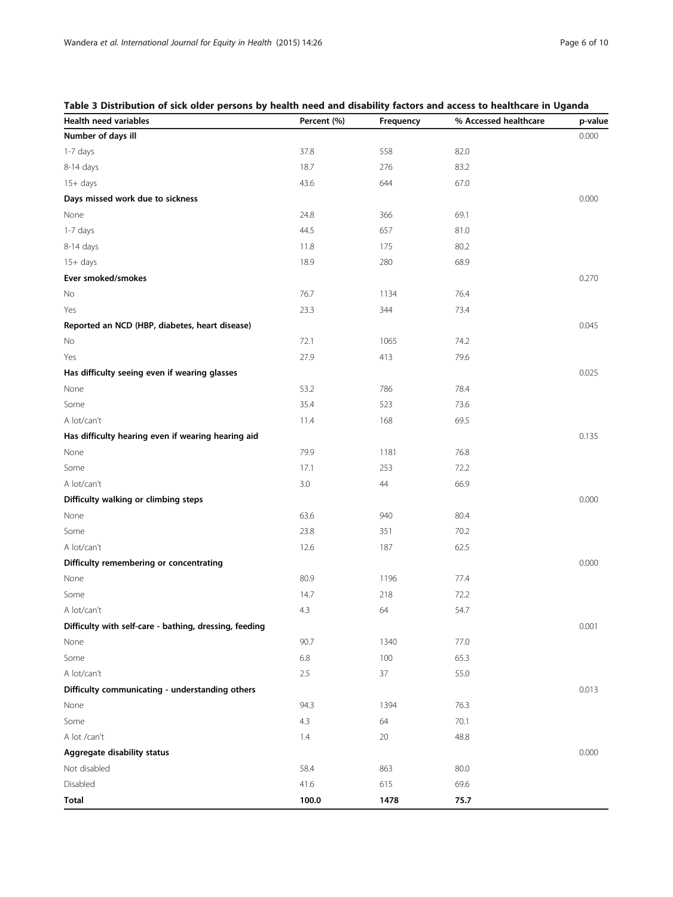# Health need variables **Percent (%)** Frequency 64 Accessed healthcare p-value Number of days ill 0.000 and 0.000 and 0.000 and 0.000 and 0.000 and 0.000 and 0.000 and 0.000 and 0.000 and 0.000 and 0.000 and 0.000 and 0.000 and 0.000 and 0.000 and 0.000 and 0.000 and 0.000 and 0.000 and 0.000 and 0.0 1-7 days 37.8 558 82.0 8-14 days 18.7 276 83.2 and 2014 18.7 276 83.2 and 2014 18.7 276 83.2 and 2014 18.7 and 2014 18.7 and 2014 18. 15+ days 67.0 Days missed work due to sickness 0.000 None 24.8  $24.8$  366 69.1 1-7 days 81.0 8-14 days 11.8 175 80.2 15+ days 18.9 280 68.9 Ever smoked/smokes 0.270 No 2008 1134 76.7 2010 1134 76.7 2010 1134 76.9  $\frac{1134}{264}$  $Y$ es 23.3 344 73.4 Reported an NCD (HBP, diabetes, heart disease) and the state of the state of the state of the state of the state of the state of the state of the state of the state of the state of the state of the state of the state of th No  $72.1$  1065 74.2 Yes 27.9 413 79.6 Has difficulty seeing even if wearing glasses **1.025** and 2.025 and 2.025 and 2.025 and 2.025 and 2.025 and 2.025 and 2.025 and 2.025 and 2.025 and 2.025 and 2.025 and 2.025 and 2.025 and 2.025 and 2.025 and 2.025 and 2.02 None 53.2 786 78.4 Some 35.4 523 73.6 A lot/can't 11.4 168 69.5 Has difficulty hearing even if wearing hearing aid 0.135 None 79.9 1181 76.8 Some 17.1 253 72.2 A lot/can't 66.9 Difficulty walking or climbing steps 0.000 None 63.6 940 80.4 Some 23.8 351 70.2 A lot/can't 12.6 187 62.5 187 62.5 187 62.5 187 62.5 187 62.5 187 62.5 187 62.5 187 62.5 187 62.5 187 62.5 187 **Difficulty remembering or concentrating** 0.000 0000 0.000 0.000 0.000 0.000 0.000 0.000 0.000 0.000 0.000 0.000 0.000 0.000 0.000 0.000 0.000 0.000 0.000 0.000 0.000 0.000 0.000 0.000 0.000 0.000 0.000 0.000 0.000 0.000 0 None 1196 127.4 Some 14.7 218 218 2001 2012 2021 2022 203 204 204 205 207 208 209 209 209 209 209 209 209 209 209 20 A lot/can't 54.7 and 54.7 and 54.7 and 54.7 and 54.7 and 54.7 and 54.7 and 54.7 and 54.7 and 54.7 and 54.7 and 54.7 and 54.7 and 54.7 and 54.7 and 54.7 and 54.7 and 54.7 and 54.7 and 54.7 and 54.7 and 54.7 and 54.7 and 54. Difficulty with self-care - bathing, dressing, feeding 0.001 0.001 0.001 0.001 0.001 0.001 0.001 0.001 0.001 0.001 0.001 0.001 0.001 0.001 0.001 0.001 0.001 0.001 0.001 0.001 0.001 0.001 0.001 0.001 0.001 0.001 0.001 0.001 None 1990.7 1340 77.0  $6.8$  100 65.3 A lot/can't 2.5 37 55.0 **Difficulty communicating - understanding others 0.013** and 0.013 None 1980 1992 1993 1994.3 1394 1394 1395 1394 1395 1394 1395 1394 1395 1394 1395 1396.3 1396.3 1396.3 1397 13 Some  $4.3$  64 70.1 A lot /can't 1.4 20 48.8 Aggregate disability status 0.000 Not disabled 863 80.0 Disabled 41.6 615 69.6 Total 100.0 1478 75.7

#### <span id="page-5-0"></span>Table 3 Distribution of sick older persons by health need and disability factors and access to healthcare in Uganda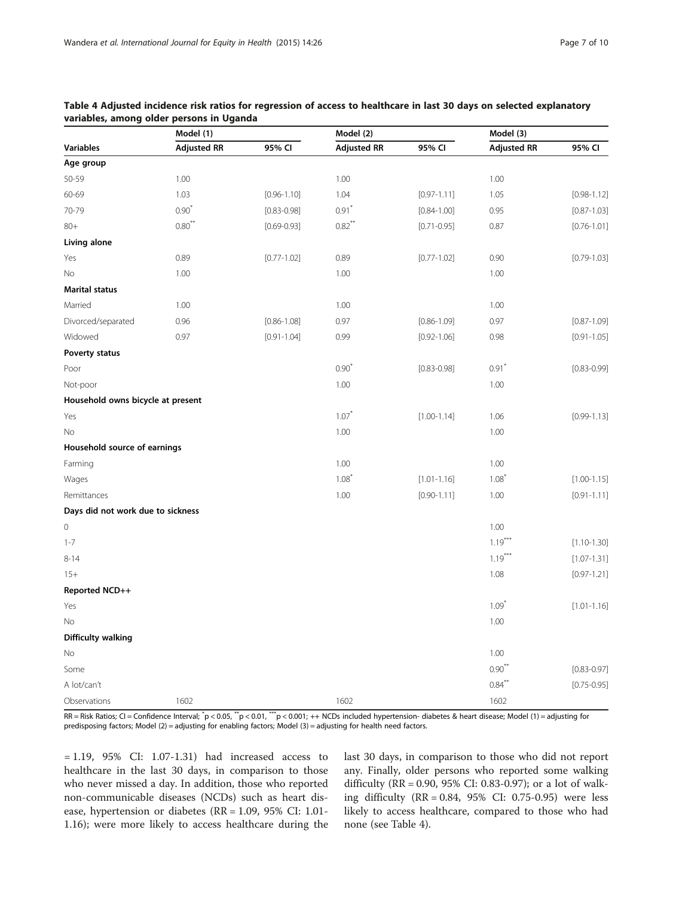| <b>Variables</b>                  | Model (1)            |                 | Model (2)            |                 | Model (3)            |                 |
|-----------------------------------|----------------------|-----------------|----------------------|-----------------|----------------------|-----------------|
|                                   | <b>Adjusted RR</b>   | 95% CI          | <b>Adjusted RR</b>   | 95% CI          | <b>Adjusted RR</b>   | 95% CI          |
| Age group                         |                      |                 |                      |                 |                      |                 |
| 50-59                             | 1.00                 |                 | 1.00                 |                 | 1.00                 |                 |
| 60-69                             | 1.03                 | $[0.96 - 1.10]$ | 1.04                 | $[0.97 - 1.11]$ | 1.05                 | $[0.98 - 1.12]$ |
| 70-79                             | $0.90*$              | $[0.83 - 0.98]$ | $0.91$ *             | $[0.84 - 1.00]$ | 0.95                 | $[0.87 - 1.03]$ |
| $80 +$                            | $0.80$ <sup>**</sup> | $[0.69 - 0.93]$ | $0.82$ <sup>**</sup> | $[0.71 - 0.95]$ | 0.87                 | $[0.76 - 1.01]$ |
| Living alone                      |                      |                 |                      |                 |                      |                 |
| Yes                               | 0.89                 | $[0.77 - 1.02]$ | 0.89                 | $[0.77 - 1.02]$ | 0.90                 | $[0.79 - 1.03]$ |
| No                                | 1.00                 |                 | 1.00                 |                 | 1.00                 |                 |
| <b>Marital status</b>             |                      |                 |                      |                 |                      |                 |
| Married                           | 1.00                 |                 | 1.00                 |                 | 1.00                 |                 |
| Divorced/separated                | 0.96                 | $[0.86 - 1.08]$ | 0.97                 | $[0.86 - 1.09]$ | 0.97                 | $[0.87 - 1.09]$ |
| Widowed                           | 0.97                 | $[0.91 - 1.04]$ | 0.99                 | $[0.92 - 1.06]$ | 0.98                 | $[0.91 - 1.05]$ |
| Poverty status                    |                      |                 |                      |                 |                      |                 |
| Poor                              |                      |                 | $0.90*$              | $[0.83 - 0.98]$ | $0.91*$              | $[0.83 - 0.99]$ |
| Not-poor                          |                      |                 | 1.00                 |                 | 1.00                 |                 |
| Household owns bicycle at present |                      |                 |                      |                 |                      |                 |
| Yes                               |                      |                 | $1.07*$              | $[1.00 - 1.14]$ | 1.06                 | $[0.99 - 1.13]$ |
| No                                |                      |                 | 1.00                 |                 | 1.00                 |                 |
| Household source of earnings      |                      |                 |                      |                 |                      |                 |
| Farming                           |                      |                 | 1.00                 |                 | 1.00                 |                 |
| Wages                             |                      |                 | 1.08                 | $[1.01 - 1.16]$ | $1.08$ <sup>*</sup>  | $[1.00 - 1.15]$ |
| Remittances                       |                      |                 | 1.00                 | $[0.90 - 1.11]$ | 1.00                 | $[0.91 - 1.11]$ |
| Days did not work due to sickness |                      |                 |                      |                 |                      |                 |
| $\mathbf 0$                       |                      |                 |                      |                 | 1.00                 |                 |
| $1 - 7$                           |                      |                 |                      |                 | $1.19***$            | $[1.10 - 1.30]$ |
| $8 - 14$                          |                      |                 |                      |                 | $1.19***$            | $[1.07 - 1.31]$ |
| $15+$                             |                      |                 |                      |                 | 1.08                 | $[0.97 - 1.21]$ |
| Reported NCD++                    |                      |                 |                      |                 |                      |                 |
| Yes                               |                      |                 |                      |                 | $1.09*$              | $[1.01 - 1.16]$ |
| No                                |                      |                 |                      |                 | 1.00                 |                 |
| Difficulty walking                |                      |                 |                      |                 |                      |                 |
| No                                |                      |                 |                      |                 | 1.00                 |                 |
| Some                              |                      |                 |                      |                 | $0.90^{*}$           | $[0.83 - 0.97]$ |
| A lot/can't                       |                      |                 |                      |                 | $0.84$ <sup>**</sup> | $[0.75 - 0.95]$ |
| Observations                      | 1602                 |                 | 1602                 |                 | 1602                 |                 |

#### <span id="page-6-0"></span>Table 4 Adjusted incidence risk ratios for regression of access to healthcare in last 30 days on selected explanatory variables, among older persons in Uganda

RR = Risk Ratios; CI = Confidence Interval;  $^*$ p < 0.05,  $^*$ p < 0.01,  $^*$  = < 0.001; ++ NCDs included hypertension- diabetes & heart disease; Model (1) = adjusting for predisposing factors; Model (2) = adjusting for enabling factors; Model (3) = adjusting for health need factors.

= 1.19, 95% CI: 1.07-1.31) had increased access to healthcare in the last 30 days, in comparison to those who never missed a day. In addition, those who reported non-communicable diseases (NCDs) such as heart disease, hypertension or diabetes (RR = 1.09, 95% CI: 1.01- 1.16); were more likely to access healthcare during the last 30 days, in comparison to those who did not report any. Finally, older persons who reported some walking difficulty (RR = 0.90, 95% CI: 0.83-0.97); or a lot of walking difficulty (RR = 0.84, 95% CI: 0.75-0.95) were less likely to access healthcare, compared to those who had none (see Table 4).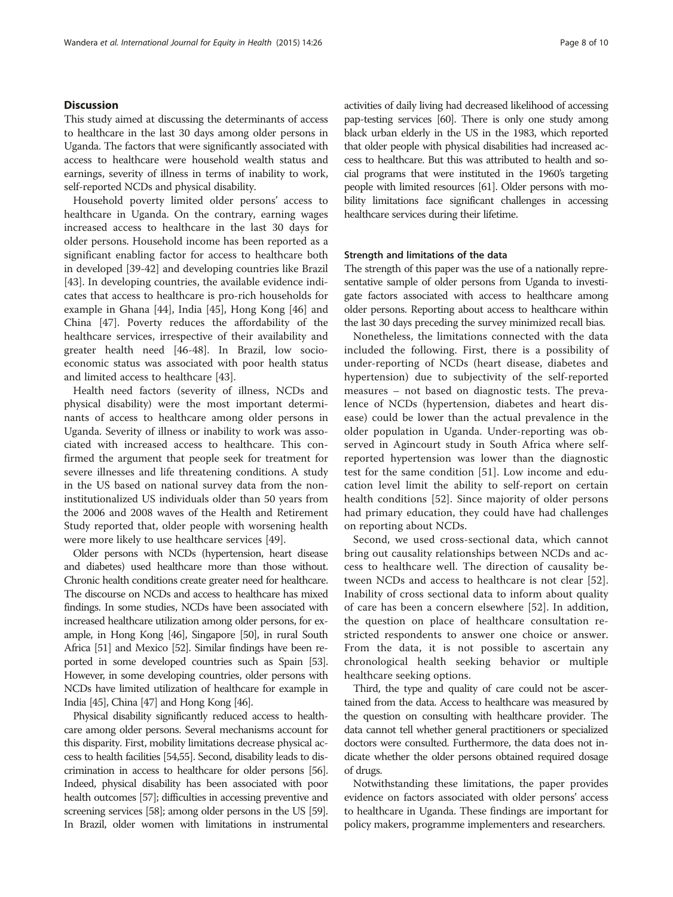#### Discussion

This study aimed at discussing the determinants of access to healthcare in the last 30 days among older persons in Uganda. The factors that were significantly associated with access to healthcare were household wealth status and earnings, severity of illness in terms of inability to work, self-reported NCDs and physical disability.

Household poverty limited older persons' access to healthcare in Uganda. On the contrary, earning wages increased access to healthcare in the last 30 days for older persons. Household income has been reported as a significant enabling factor for access to healthcare both in developed [[39-42\]](#page-9-0) and developing countries like Brazil [[43\]](#page-9-0). In developing countries, the available evidence indicates that access to healthcare is pro-rich households for example in Ghana [\[44](#page-9-0)], India [\[45](#page-9-0)], Hong Kong [[46\]](#page-9-0) and China [[47\]](#page-9-0). Poverty reduces the affordability of the healthcare services, irrespective of their availability and greater health need [[46-48](#page-9-0)]. In Brazil, low socioeconomic status was associated with poor health status and limited access to healthcare [[43\]](#page-9-0).

Health need factors (severity of illness, NCDs and physical disability) were the most important determinants of access to healthcare among older persons in Uganda. Severity of illness or inability to work was associated with increased access to healthcare. This confirmed the argument that people seek for treatment for severe illnesses and life threatening conditions. A study in the US based on national survey data from the noninstitutionalized US individuals older than 50 years from the 2006 and 2008 waves of the Health and Retirement Study reported that, older people with worsening health were more likely to use healthcare services [\[49\]](#page-9-0).

Older persons with NCDs (hypertension, heart disease and diabetes) used healthcare more than those without. Chronic health conditions create greater need for healthcare. The discourse on NCDs and access to healthcare has mixed findings. In some studies, NCDs have been associated with increased healthcare utilization among older persons, for example, in Hong Kong [[46\]](#page-9-0), Singapore [\[50\]](#page-9-0), in rural South Africa [\[51\]](#page-9-0) and Mexico [\[52](#page-9-0)]. Similar findings have been reported in some developed countries such as Spain [\[53\]](#page-9-0). However, in some developing countries, older persons with NCDs have limited utilization of healthcare for example in India [\[45](#page-9-0)], China [\[47\]](#page-9-0) and Hong Kong [\[46](#page-9-0)].

Physical disability significantly reduced access to healthcare among older persons. Several mechanisms account for this disparity. First, mobility limitations decrease physical access to health facilities [\[54,55\]](#page-9-0). Second, disability leads to discrimination in access to healthcare for older persons [\[56](#page-9-0)]. Indeed, physical disability has been associated with poor health outcomes [\[57](#page-9-0)]; difficulties in accessing preventive and screening services [[58](#page-9-0)]; among older persons in the US [\[59\]](#page-9-0). In Brazil, older women with limitations in instrumental activities of daily living had decreased likelihood of accessing pap-testing services [[60](#page-9-0)]. There is only one study among black urban elderly in the US in the 1983, which reported that older people with physical disabilities had increased access to healthcare. But this was attributed to health and social programs that were instituted in the 1960's targeting people with limited resources [\[61\]](#page-9-0). Older persons with mobility limitations face significant challenges in accessing healthcare services during their lifetime.

#### Strength and limitations of the data

The strength of this paper was the use of a nationally representative sample of older persons from Uganda to investigate factors associated with access to healthcare among older persons. Reporting about access to healthcare within the last 30 days preceding the survey minimized recall bias.

Nonetheless, the limitations connected with the data included the following. First, there is a possibility of under-reporting of NCDs (heart disease, diabetes and hypertension) due to subjectivity of the self-reported measures – not based on diagnostic tests. The prevalence of NCDs (hypertension, diabetes and heart disease) could be lower than the actual prevalence in the older population in Uganda. Under-reporting was observed in Agincourt study in South Africa where selfreported hypertension was lower than the diagnostic test for the same condition [[51\]](#page-9-0). Low income and education level limit the ability to self-report on certain health conditions [\[52](#page-9-0)]. Since majority of older persons had primary education, they could have had challenges on reporting about NCDs.

Second, we used cross-sectional data, which cannot bring out causality relationships between NCDs and access to healthcare well. The direction of causality between NCDs and access to healthcare is not clear [\[52](#page-9-0)]. Inability of cross sectional data to inform about quality of care has been a concern elsewhere [[52\]](#page-9-0). In addition, the question on place of healthcare consultation restricted respondents to answer one choice or answer. From the data, it is not possible to ascertain any chronological health seeking behavior or multiple healthcare seeking options.

Third, the type and quality of care could not be ascertained from the data. Access to healthcare was measured by the question on consulting with healthcare provider. The data cannot tell whether general practitioners or specialized doctors were consulted. Furthermore, the data does not indicate whether the older persons obtained required dosage of drugs.

Notwithstanding these limitations, the paper provides evidence on factors associated with older persons' access to healthcare in Uganda. These findings are important for policy makers, programme implementers and researchers.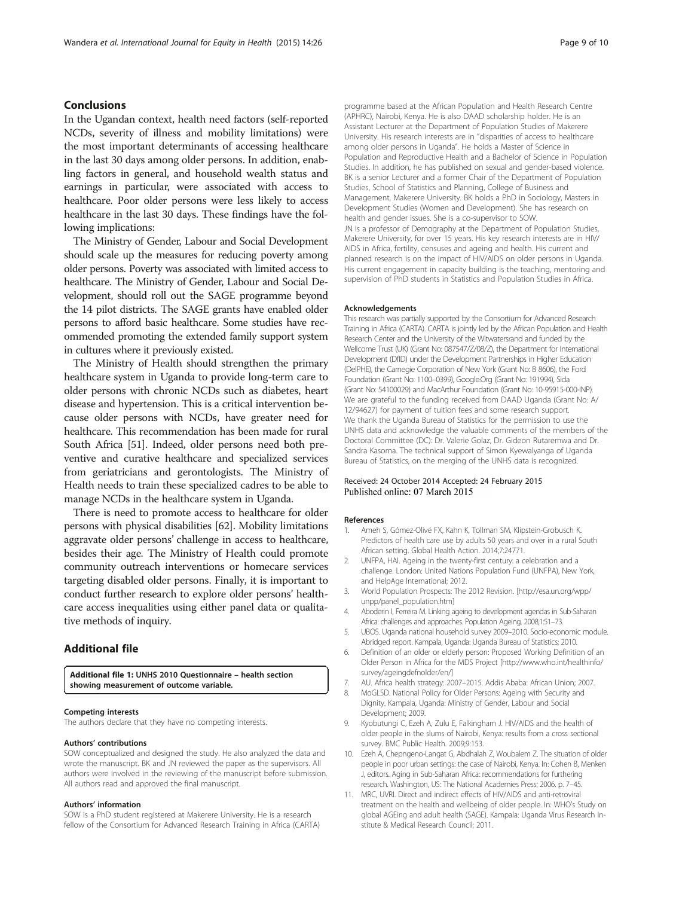#### <span id="page-8-0"></span>Conclusions

In the Ugandan context, health need factors (self-reported NCDs, severity of illness and mobility limitations) were the most important determinants of accessing healthcare in the last 30 days among older persons. In addition, enabling factors in general, and household wealth status and earnings in particular, were associated with access to healthcare. Poor older persons were less likely to access healthcare in the last 30 days. These findings have the following implications:

The Ministry of Gender, Labour and Social Development should scale up the measures for reducing poverty among older persons. Poverty was associated with limited access to healthcare. The Ministry of Gender, Labour and Social Development, should roll out the SAGE programme beyond the 14 pilot districts. The SAGE grants have enabled older persons to afford basic healthcare. Some studies have recommended promoting the extended family support system in cultures where it previously existed.

The Ministry of Health should strengthen the primary healthcare system in Uganda to provide long-term care to older persons with chronic NCDs such as diabetes, heart disease and hypertension. This is a critical intervention because older persons with NCDs, have greater need for healthcare. This recommendation has been made for rural South Africa [\[51\]](#page-9-0). Indeed, older persons need both preventive and curative healthcare and specialized services from geriatricians and gerontologists. The Ministry of Health needs to train these specialized cadres to be able to manage NCDs in the healthcare system in Uganda.

There is need to promote access to healthcare for older persons with physical disabilities [\[62](#page-9-0)]. Mobility limitations aggravate older persons' challenge in access to healthcare, besides their age. The Ministry of Health could promote community outreach interventions or homecare services targeting disabled older persons. Finally, it is important to conduct further research to explore older persons' healthcare access inequalities using either panel data or qualitative methods of inquiry.

#### Additional file

[Additional file 1:](http://www.equityhealthj.com/content/supplementary/s12939-015-0157-z-s1.pdf) UNHS 2010 Questionnaire – health section showing measurement of outcome variable.

#### Competing interests

The authors declare that they have no competing interests.

#### Authors' contributions

SOW conceptualized and designed the study. He also analyzed the data and wrote the manuscript. BK and JN reviewed the paper as the supervisors. All authors were involved in the reviewing of the manuscript before submission. All authors read and approved the final manuscript.

#### Authors' information

SOW is a PhD student registered at Makerere University. He is a research fellow of the Consortium for Advanced Research Training in Africa (CARTA)

programme based at the African Population and Health Research Centre (APHRC), Nairobi, Kenya. He is also DAAD scholarship holder. He is an Assistant Lecturer at the Department of Population Studies of Makerere University. His research interests are in "disparities of access to healthcare among older persons in Uganda". He holds a Master of Science in Population and Reproductive Health and a Bachelor of Science in Population Studies. In addition, he has published on sexual and gender-based violence. BK is a senior Lecturer and a former Chair of the Department of Population Studies, School of Statistics and Planning, College of Business and Management, Makerere University. BK holds a PhD in Sociology, Masters in Development Studies (Women and Development). She has research on

health and gender issues. She is a co-supervisor to SOW. JN is a professor of Demography at the Department of Population Studies, Makerere University, for over 15 years. His key research interests are in HIV/ AIDS in Africa, fertility, censuses and ageing and health. His current and planned research is on the impact of HIV/AIDS on older persons in Uganda. His current engagement in capacity building is the teaching, mentoring and supervision of PhD students in Statistics and Population Studies in Africa.

#### Acknowledgements

This research was partially supported by the Consortium for Advanced Research Training in Africa (CARTA). CARTA is jointly led by the African Population and Health Research Center and the University of the Witwatersrand and funded by the Wellcome Trust (UK) (Grant No: 087547/Z/08/Z), the Department for International Development (DfID) under the Development Partnerships in Higher Education (DelPHE), the Carnegie Corporation of New York (Grant No: B 8606), the Ford Foundation (Grant No: 1100–0399), Google.Org (Grant No: 191994), Sida (Grant No: 54100029) and MacArthur Foundation (Grant No: 10-95915-000-INP). We are grateful to the funding received from DAAD Uganda (Grant No: A/ 12/94627) for payment of tuition fees and some research support. We thank the Uganda Bureau of Statistics for the permission to use the UNHS data and acknowledge the valuable comments of the members of the Doctoral Committee (DC): Dr. Valerie Golaz, Dr. Gideon Rutaremwa and Dr. Sandra Kasoma. The technical support of Simon Kyewalyanga of Uganda Bureau of Statistics, on the merging of the UNHS data is recognized.

#### Received: 24 October 2014 Accepted: 24 February 2015 Published online: 07 March 2015

#### References

- 1. Ameh S, Gómez-Olivé FX, Kahn K, Tollman SM, Klipstein-Grobusch K. Predictors of health care use by adults 50 years and over in a rural South African setting. Global Health Action. 2014;7:24771.
- 2. UNFPA, HAI. Ageing in the twenty-first century: a celebration and a challenge. London: United Nations Population Fund (UNFPA), New York, and HelpAge International; 2012.
- 3. World Population Prospects: The 2012 Revision. [\[http://esa.un.org/wpp/](http://esa.un.org/wpp/unpp/panel_population.htm) [unpp/panel\\_population.htm\]](http://esa.un.org/wpp/unpp/panel_population.htm)
- 4. Aboderin I, Ferreira M. Linking ageing to development agendas in Sub-Saharan Africa: challenges and approaches. Population Ageing. 2008;1:51–73.
- 5. UBOS. Uganda national household survey 2009–2010. Socio-economic module. Abridged report. Kampala, Uganda: Uganda Bureau of Statistics; 2010.
- 6. Definition of an older or elderly person: Proposed Working Definition of an Older Person in Africa for the MDS Project [[http://www.who.int/healthinfo/](http://www.who.int/healthinfo/survey/ageingdefnolder/en/) [survey/ageingdefnolder/en/](http://www.who.int/healthinfo/survey/ageingdefnolder/en/)]
- 7. AU. Africa health strategy: 2007–2015. Addis Ababa: African Union; 2007.
- 8. MoGLSD. National Policy for Older Persons: Ageing with Security and Dignity. Kampala, Uganda: Ministry of Gender, Labour and Social Development; 2009.
- 9. Kyobutungi C, Ezeh A, Zulu E, Falkingham J. HIV/AIDS and the health of older people in the slums of Nairobi, Kenya: results from a cross sectional survey. BMC Public Health. 2009;9:153.
- 10. Ezeh A, Chepngeno-Langat G, Abdhalah Z, Woubalem Z. The situation of older people in poor urban settings: the case of Nairobi, Kenya. In: Cohen B, Menken J, editors. Aging in Sub-Saharan Africa: recommendations for furthering research. Washington, US: The National Academies Press; 2006. p. 7–45.
- 11. MRC, UVRI. Direct and indirect effects of HIV/AIDS and anti-retroviral treatment on the health and wellbeing of older people. In: WHO's Study on global AGEing and adult health (SAGE). Kampala: Uganda Virus Research Institute & Medical Research Council; 2011.